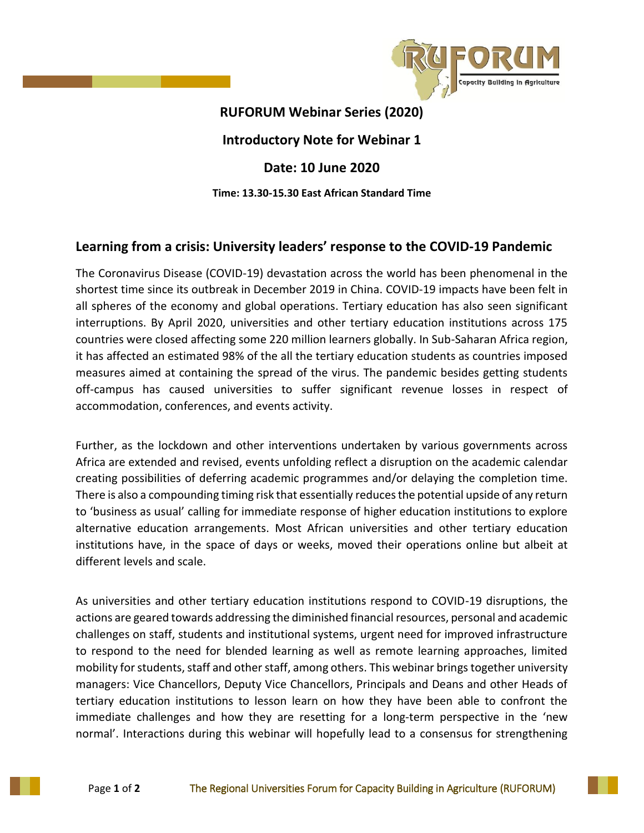

## **RUFORUM Webinar Series (2020)**

## **Introductory Note for Webinar 1**

# **Date: 10 June 2020**

### **Time: 13.30-15.30 East African Standard Time**

# **Learning from a crisis: University leaders' response to the COVID-19 Pandemic**

The Coronavirus Disease (COVID-19) devastation across the world has been phenomenal in the shortest time since its outbreak in December 2019 in China. COVID-19 impacts have been felt in all spheres of the economy and global operations. Tertiary education has also seen significant interruptions. By April 2020, universities and other tertiary education institutions across 175 countries were closed affecting some 220 million learners globally. In Sub-Saharan Africa region, it has affected an estimated 98% of the all the tertiary education students as countries imposed measures aimed at containing the spread of the virus. The pandemic besides getting students off-campus has caused universities to suffer significant revenue losses in respect of accommodation, conferences, and events activity.

Further, as the lockdown and other interventions undertaken by various governments across Africa are extended and revised, events unfolding reflect a disruption on the academic calendar creating possibilities of deferring academic programmes and/or delaying the completion time. There is also a compounding timing risk that essentially reduces the potential upside of any return to 'business as usual' calling for immediate response of higher education institutions to explore alternative education arrangements. Most African universities and other tertiary education institutions have, in the space of days or weeks, moved their operations online but albeit at different levels and scale.

As universities and other tertiary education institutions respond to COVID-19 disruptions, the actions are geared towards addressing the diminished financial resources, personal and academic challenges on staff, students and institutional systems, urgent need for improved infrastructure to respond to the need for blended learning as well as remote learning approaches, limited mobility for students, staff and other staff, among others. This webinar brings together university managers: Vice Chancellors, Deputy Vice Chancellors, Principals and Deans and other Heads of tertiary education institutions to lesson learn on how they have been able to confront the immediate challenges and how they are resetting for a long-term perspective in the 'new normal'. Interactions during this webinar will hopefully lead to a consensus for strengthening